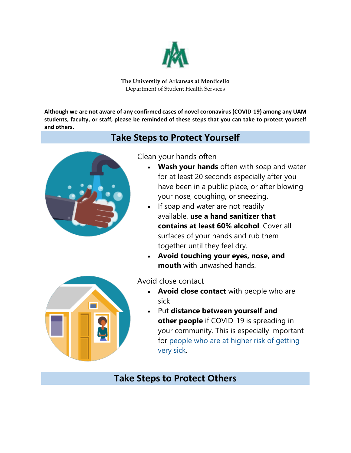

**The University of Arkansas at Monticello** Department of Student Health Services

**Although we are not aware of any confirmed cases of novel coronavirus (COVID-19) among any UAM students, faculty, or staff, please be reminded of these steps that you can take to protect yourself and others.**

## **Take Steps to Protect Yourself**



Clean your hands often

- **Wash your hands** often with soap and water for at least 20 seconds especially after you have been in a public place, or after blowing your nose, coughing, or sneezing.
- If soap and water are not readily available, **use a hand sanitizer that contains at least 60% alcohol**. Cover all surfaces of your hands and rub them together until they feel dry.
- **Avoid touching your eyes, nose, and mouth** with unwashed hands.



Avoid close contact

- **Avoid close contact** with people who are sick
- Put **distance between yourself and other people** if COVID-19 is spreading in your community. This is especially important for [people who are at higher risk of getting](https://www.cdc.gov/coronavirus/2019-ncov/specific-groups/high-risk-complications.html)  [very sick.](https://www.cdc.gov/coronavirus/2019-ncov/specific-groups/high-risk-complications.html)

# **Take Steps to Protect Others**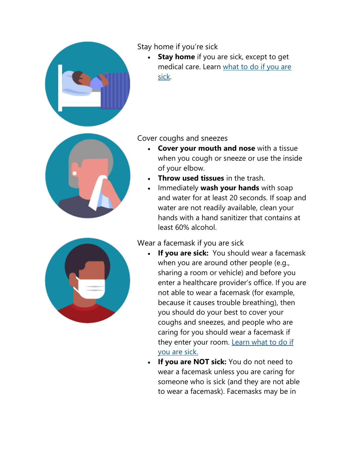

## Stay home if you're sick

**Stay home** if you are sick, except to get medical care. Learn [what to do if you are](https://www.cdc.gov/coronavirus/2019-ncov/about/steps-when-sick.html)  [sick.](https://www.cdc.gov/coronavirus/2019-ncov/about/steps-when-sick.html)



#### Cover coughs and sneezes

- **Cover your mouth and nose** with a tissue when you cough or sneeze or use the inside of your elbow.
- **Throw used tissues** in the trash.
- Immediately **wash your hands** with soap and water for at least 20 seconds. If soap and water are not readily available, clean your hands with a hand sanitizer that contains at least 60% alcohol.

### Wear a facemask if you are sick

- **If you are sick:** You should wear a facemask when you are around other people (e.g., sharing a room or vehicle) and before you enter a healthcare provider's office. If you are not able to wear a facemask (for example, because it causes trouble breathing), then you should do your best to cover your coughs and sneezes, and people who are caring for you should wear a facemask if they enter your room. Learn what to do if [you are sick.](https://www.cdc.gov/coronavirus/2019-ncov/about/steps-when-sick.html)
- **If you are NOT sick:** You do not need to wear a facemask unless you are caring for someone who is sick (and they are not able to wear a facemask). Facemasks may be in